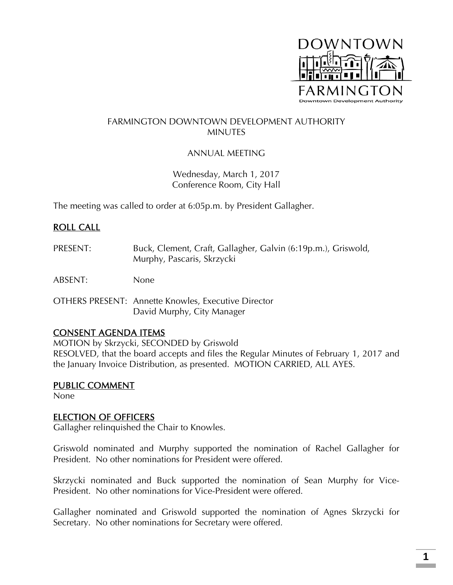

### FARMINGTON DOWNTOWN DEVELOPMENT AUTHORITY **MINUTES**

## ANNUAL MEETING

Wednesday, March 1, 2017 Conference Room, City Hall

The meeting was called to order at 6:05p.m. by President Gallagher.

## ROLL CALL

PRESENT: Buck, Clement, Craft, Gallagher, Galvin (6:19p.m.), Griswold, Murphy, Pascaris, Skrzycki

ABSENT: None

OTHERS PRESENT: Annette Knowles, Executive Director David Murphy, City Manager

### CONSENT AGENDA ITEMS

MOTION by Skrzycki, SECONDED by Griswold RESOLVED, that the board accepts and files the Regular Minutes of February 1, 2017 and the January Invoice Distribution, as presented. MOTION CARRIED, ALL AYES.

### PUBLIC COMMENT

None

## ELECTION OF OFFICERS

Gallagher relinquished the Chair to Knowles.

Griswold nominated and Murphy supported the nomination of Rachel Gallagher for President. No other nominations for President were offered.

Skrzycki nominated and Buck supported the nomination of Sean Murphy for Vice-President. No other nominations for Vice-President were offered.

Gallagher nominated and Griswold supported the nomination of Agnes Skrzycki for Secretary. No other nominations for Secretary were offered.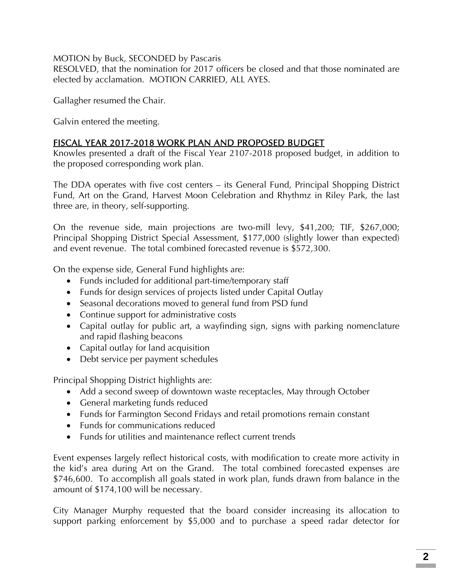MOTION by Buck, SECONDED by Pascaris

RESOLVED, that the nomination for 2017 officers be closed and that those nominated are elected by acclamation. MOTION CARRIED, ALL AYES.

Gallagher resumed the Chair.

Galvin entered the meeting.

# FISCAL YEAR 2017-2018 WORK PLAN AND PROPOSED BUDGET

Knowles presented a draft of the Fiscal Year 2107-2018 proposed budget, in addition to the proposed corresponding work plan.

The DDA operates with five cost centers – its General Fund, Principal Shopping District Fund, Art on the Grand, Harvest Moon Celebration and Rhythmz in Riley Park, the last three are, in theory, self-supporting.

On the revenue side, main projections are two-mill levy, \$41,200; TIF, \$267,000; Principal Shopping District Special Assessment, \$177,000 (slightly lower than expected) and event revenue. The total combined forecasted revenue is \$572,300.

On the expense side, General Fund highlights are:

- Funds included for additional part-time/temporary staff
- Funds for design services of projects listed under Capital Outlay
- Seasonal decorations moved to general fund from PSD fund
- Continue support for administrative costs
- Capital outlay for public art, a wayfinding sign, signs with parking nomenclature and rapid flashing beacons
- Capital outlay for land acquisition
- Debt service per payment schedules

Principal Shopping District highlights are:

- Add a second sweep of downtown waste receptacles, May through October
- General marketing funds reduced
- Funds for Farmington Second Fridays and retail promotions remain constant
- Funds for communications reduced
- Funds for utilities and maintenance reflect current trends

Event expenses largely reflect historical costs, with modification to create more activity in the kid's area during Art on the Grand. The total combined forecasted expenses are \$746,600. To accomplish all goals stated in work plan, funds drawn from balance in the amount of \$174,100 will be necessary.

City Manager Murphy requested that the board consider increasing its allocation to support parking enforcement by \$5,000 and to purchase a speed radar detector for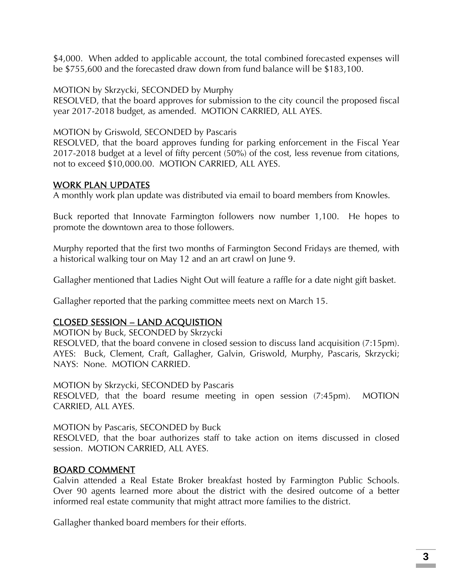\$4,000. When added to applicable account, the total combined forecasted expenses will be \$755,600 and the forecasted draw down from fund balance will be \$183,100.

MOTION by Skrzycki, SECONDED by Murphy

RESOLVED, that the board approves for submission to the city council the proposed fiscal year 2017-2018 budget, as amended. MOTION CARRIED, ALL AYES.

MOTION by Griswold, SECONDED by Pascaris

RESOLVED, that the board approves funding for parking enforcement in the Fiscal Year 2017-2018 budget at a level of fifty percent (50%) of the cost, less revenue from citations, not to exceed \$10,000.00. MOTION CARRIED, ALL AYES.

### WORK PLAN UPDATES

A monthly work plan update was distributed via email to board members from Knowles.

Buck reported that Innovate Farmington followers now number 1,100. He hopes to promote the downtown area to those followers.

Murphy reported that the first two months of Farmington Second Fridays are themed, with a historical walking tour on May 12 and an art crawl on June 9.

Gallagher mentioned that Ladies Night Out will feature a raffle for a date night gift basket.

Gallagher reported that the parking committee meets next on March 15.

## CLOSED SESSION – LAND ACQUISTION

MOTION by Buck, SECONDED by Skrzycki

RESOLVED, that the board convene in closed session to discuss land acquisition (7:15pm). AYES: Buck, Clement, Craft, Gallagher, Galvin, Griswold, Murphy, Pascaris, Skrzycki; NAYS: None. MOTION CARRIED.

MOTION by Skrzycki, SECONDED by Pascaris

RESOLVED, that the board resume meeting in open session (7:45pm). MOTION CARRIED, ALL AYES.

MOTION by Pascaris, SECONDED by Buck

RESOLVED, that the boar authorizes staff to take action on items discussed in closed session. MOTION CARRIED, ALL AYES.

## BOARD COMMENT

Galvin attended a Real Estate Broker breakfast hosted by Farmington Public Schools. Over 90 agents learned more about the district with the desired outcome of a better informed real estate community that might attract more families to the district.

Gallagher thanked board members for their efforts.